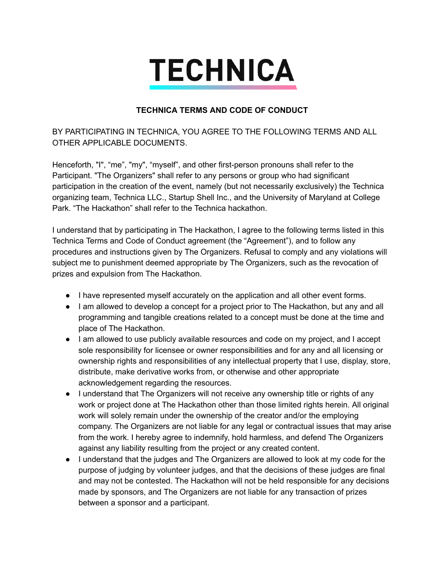## **TECHNICA**

## **TECHNICA TERMS AND CODE OF CONDUCT**

BY PARTICIPATING IN TECHNICA, YOU AGREE TO THE FOLLOWING TERMS AND ALL OTHER APPLICABLE DOCUMENTS.

Henceforth, "I", "me", "my", "myself", and other first-person pronouns shall refer to the Participant. "The Organizers" shall refer to any persons or group who had significant participation in the creation of the event, namely (but not necessarily exclusively) the Technica organizing team, Technica LLC., Startup Shell Inc., and the University of Maryland at College Park. "The Hackathon" shall refer to the Technica hackathon.

I understand that by participating in The Hackathon, I agree to the following terms listed in this Technica Terms and Code of Conduct agreement (the "Agreement"), and to follow any procedures and instructions given by The Organizers. Refusal to comply and any violations will subject me to punishment deemed appropriate by The Organizers, such as the revocation of prizes and expulsion from The Hackathon.

- I have represented myself accurately on the application and all other event forms.
- I am allowed to develop a concept for a project prior to The Hackathon, but any and all programming and tangible creations related to a concept must be done at the time and place of The Hackathon.
- I am allowed to use publicly available resources and code on my project, and I accept sole responsibility for licensee or owner responsibilities and for any and all licensing or ownership rights and responsibilities of any intellectual property that I use, display, store, distribute, make derivative works from, or otherwise and other appropriate acknowledgement regarding the resources.
- I understand that The Organizers will not receive any ownership title or rights of any work or project done at The Hackathon other than those limited rights herein. All original work will solely remain under the ownership of the creator and/or the employing company. The Organizers are not liable for any legal or contractual issues that may arise from the work. I hereby agree to indemnify, hold harmless, and defend The Organizers against any liability resulting from the project or any created content.
- I understand that the judges and The Organizers are allowed to look at my code for the purpose of judging by volunteer judges, and that the decisions of these judges are final and may not be contested. The Hackathon will not be held responsible for any decisions made by sponsors, and The Organizers are not liable for any transaction of prizes between a sponsor and a participant.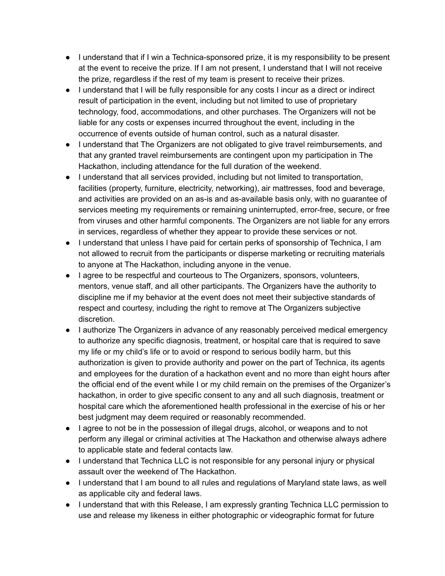- $\bullet$  I understand that if I win a Technica-sponsored prize, it is my responsibility to be present at the event to receive the prize. If I am not present, I understand that I will not receive the prize, regardless if the rest of my team is present to receive their prizes.
- I understand that I will be fully responsible for any costs I incur as a direct or indirect result of participation in the event, including but not limited to use of proprietary technology, food, accommodations, and other purchases. The Organizers will not be liable for any costs or expenses incurred throughout the event, including in the occurrence of events outside of human control, such as a natural disaster.
- I understand that The Organizers are not obligated to give travel reimbursements, and that any granted travel reimbursements are contingent upon my participation in The Hackathon, including attendance for the full duration of the weekend.
- I understand that all services provided, including but not limited to transportation, facilities (property, furniture, electricity, networking), air mattresses, food and beverage, and activities are provided on an as-is and as-available basis only, with no quarantee of services meeting my requirements or remaining uninterrupted, error-free, secure, or free from viruses and other harmful components. The Organizers are not liable for any errors in services, regardless of whether they appear to provide these services or not.
- I understand that unless I have paid for certain perks of sponsorship of Technica, I am not allowed to recruit from the participants or disperse marketing or recruiting materials to anyone at The Hackathon, including anyone in the venue.
- I agree to be respectful and courteous to The Organizers, sponsors, volunteers, mentors, venue staff, and all other participants. The Organizers have the authority to discipline me if my behavior at the event does not meet their subjective standards of respect and courtesy, including the right to remove at The Organizers subjective discretion.
- I authorize The Organizers in advance of any reasonably perceived medical emergency to authorize any specific diagnosis, treatment, or hospital care that is required to save my life or my child's life or to avoid or respond to serious bodily harm, but this authorization is given to provide authority and power on the part of Technica, its agents and employees for the duration of a hackathon event and no more than eight hours after the official end of the event while I or my child remain on the premises of the Organizer's hackathon, in order to give specific consent to any and all such diagnosis, treatment or hospital care which the aforementioned health professional in the exercise of his or her best judgment may deem required or reasonably recommended.
- I agree to not be in the possession of illegal drugs, alcohol, or weapons and to not perform any illegal or criminal activities at The Hackathon and otherwise always adhere to applicable state and federal contacts law.
- I understand that Technica LLC is not responsible for any personal injury or physical assault over the weekend of The Hackathon.
- I understand that I am bound to all rules and regulations of Maryland state laws, as well as applicable city and federal laws.
- I understand that with this Release, I am expressly granting Technica LLC permission to use and release my likeness in either photographic or videographic format for future